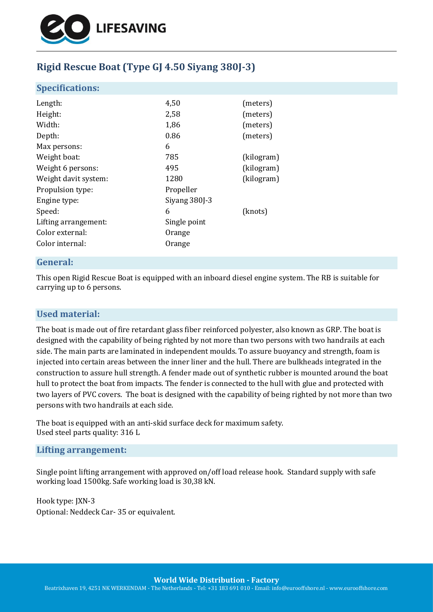

# **Rigid Rescue Boat (Type GJ 4.50 Siyang 380J-3)**

# **Specifications:**

| Length:              | 4,50                     | (meters)   |
|----------------------|--------------------------|------------|
| Height:              | 2,58                     | (meters)   |
| Width:               | 1,86                     | (meters)   |
| Depth:               | 0.86                     | (meters)   |
| Max persons:         | 6                        |            |
| Weight boat:         | 785                      | (kilogram) |
| Weight 6 persons:    | 495                      | (kilogram) |
| Weight davit system: | 1280                     | (kilogram) |
| Propulsion type:     | Propeller                |            |
| Engine type:         | Siyang 380 <sup>-3</sup> |            |
| Speed:               | 6                        | (knots)    |
| Lifting arrangement: | Single point             |            |
| Color external:      | Orange                   |            |
| Color internal:      | Orange                   |            |
|                      |                          |            |

# **General:**

This open Rigid Rescue Boat is equipped with an inboard diesel engine system. The RB is suitable for carrying up to 6 persons.

# **Used material:**

The boat is made out of fire retardant glass fiber reinforced polyester, also known as GRP. The boat is designed with the capability of being righted by not more than two persons with two handrails at each side. The main parts are laminated in independent moulds. To assure buoyancy and strength, foam is injected into certain areas between the inner liner and the hull. There are bulkheads integrated in the construction to assure hull strength. A fender made out of synthetic rubber is mounted around the boat hull to protect the boat from impacts. The fender is connected to the hull with glue and protected with two layers of PVC covers. The boat is designed with the capability of being righted by not more than two persons with two handrails at each side.

The boat is equipped with an anti-skid surface deck for maximum safety. Used steel parts quality: 316 L

#### **Lifting arrangement:**

Single point lifting arrangement with approved on/off load release hook. Standard supply with safe working load 1500kg. Safe working load is 30,38 kN.

Hook type: JXN-3 Optional: Neddeck Car- 35 or equivalent.

**World Wide Distribution - Factory**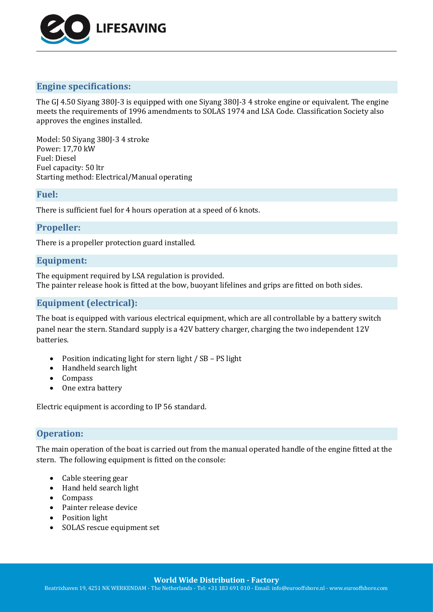

# **Engine specifications:**

The GJ 4.50 Siyang 380J-3 is equipped with one Siyang 380J-3 4 stroke engine or equivalent. The engine meets the requirements of 1996 amendments to SOLAS 1974 and LSA Code. Classification Society also approves the engines installed.

Model: 50 Siyang 380J-3 4 stroke Power: 17,70 kW Fuel: Diesel Fuel capacity: 50 ltr Starting method: Electrical/Manual operating

#### **Fuel:**

There is sufficient fuel for 4 hours operation at a speed of 6 knots.

# **Propeller:**

There is a propeller protection guard installed.

# **Equipment:**

The equipment required by LSA regulation is provided. The painter release hook is fitted at the bow, buoyant lifelines and grips are fitted on both sides.

# **Equipment (electrical):**

The boat is equipped with various electrical equipment, which are all controllable by a battery switch panel near the stern. Standard supply is a 42V battery charger, charging the two independent 12V batteries.

- Position indicating light for stern light / SB PS light
- Handheld search light
- Compass
- One extra battery

Electric equipment is according to IP 56 standard.

# **Operation:**

The main operation of the boat is carried out from the manual operated handle of the engine fitted at the stern. The following equipment is fitted on the console:

- Cable steering gear
- Hand held search light
- Compass
- Painter release device
- Position light
- SOLAS rescue equipment set